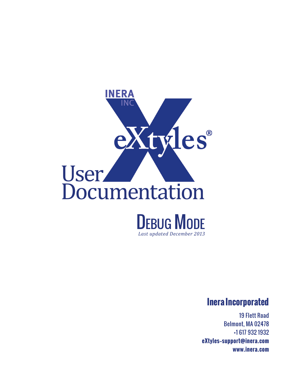

*Last updated December 2013* 

## **Inera Incorporated**

19 Flett Road Belmont, MA 02478 +1 617 932 1932 **eXtyles—support@inera.com www.inera.com**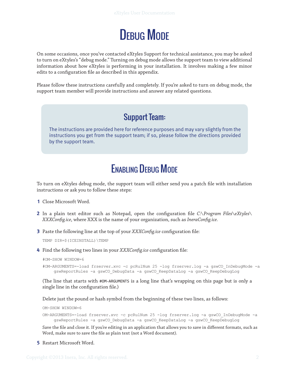

On some occasions, once you've contacted eXtyles Support for technical assistance, you may be asked to turn on eXtyles's "debug mode." Turning on debug mode allows the support team to view additional information about how eXtyles is performing in your installation. It involves making a few minor edits to a configuration file as described in this appendix.

Please follow these instructions carefully and completely. If you're asked to turn on debug mode, the support team member will provide instructions and answer any related questions.

## Support Team:

The instructions are provided here for reference purposes and may vary slightly from the instructions you get from the support team; if so, please follow the directions provided by the support team.

## Enabling Debug Mode

To turn on eXtyles debug mode, the support team will either send you a patch file with installation instructions or ask you to follow these steps:

- **1** Close Microsoft Word.
- **2** In a plain text editor such as Notepad, open the configuration file *C:\Program Files\eXtyles\ XXXConfig.ice*, where XXX is the name of your organization, such as *IneraConfig.ice.*
- **3** Paste the following line at the top of your *XXXConfig.ice* configuration file:

TEMP DIR=\$(ICEINSTALL)\TEMP

**4** Find the following two lines in your *XXXConfig.ice* configuration file:

#OM-SHOW WINDOW=6

#OM-ARGUMENTS=-load frserver.xvc -c pcRulNum 25 -log frserver.log -a gswCO\_InDebugMode -a gswReportRules -a gswCO\_DebugData -a gswCO\_KeepDataLog -a gswCO\_KeepDebugLog

(The line that starts with #OM-ARGUMENTS is a long line that's wrapping on this page but is only a single line in the configuration file.)

Delete just the pound or hash symbol from the beginning of these two lines, as follows:

OM-SHOW WINDOW=6

OM-ARGUMENTS=-load frserver.xvc -c pcRulNum 25 -log frserver.log -a gswCO\_InDebugMode -a gswReportRules -a gswCO\_DebugData -a gswCO\_KeepDataLog -a gswCO\_KeepDebugLog

Save the file and close it. If you're editing in an application that allows you to save in different formats, such as Word, make sure to save the file as plain text (not a Word document).

**5** Restart Microsoft Word.